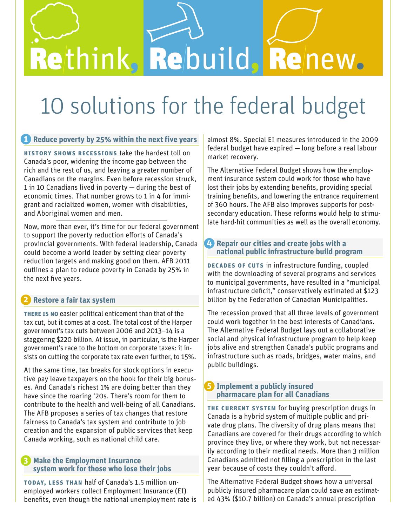# Rethink, Rebuild, Renew.

# 10 solutions for the federal budget

### **1** Reduce poverty by 25% within the next five years

**History shows recessions** take the hardest toll on Canada's poor, widening the income gap between the rich and the rest of us, and leaving a greater number of Canadians on the margins. Even before recession struck, 1 in 10 Canadians lived in poverty — during the best of economic times. That number grows to 1 in 4 for immigrant and racialized women, women with disabilities, and Aboriginal women and men.

Now, more than ever, it's time for our federal government to support the poverty reduction efforts of Canada's provincial governments. With federal leadership, Canada could become a world leader by setting clear poverty reduction targets and making good on them. AFB 2011 outlines a plan to reduce poverty in Canada by 25% in the next five years.

# **Restore a fair tax system 2**

**There is no** easier political enticement than that of the tax cut, but it comes at a cost. The total cost of the Harper government's tax cuts between 2006 and 2013–14 is a staggering \$220 billion. At issue, in particular, is the Harper government's race to the bottom on corporate taxes: it insists on cutting the corporate tax rate even further, to 15%.

At the same time, tax breaks for stock options in executive pay leave taxpayers on the hook for their big bonuses. And Canada's richest 1% are doing better than they have since the roaring '20s. There's room for them to contribute to the health and well-being of all Canadians. The AFB proposes a series of tax changes that restore fairness to Canada's tax system and contribute to job creation and the expansion of public services that keep Canada working, such as national child care.

#### **Make the Employment Insurance system work for those who lose their jobs 3**

**Today, less than** half of Canada's 1.5 million unemployed workers collect Employment Insurance (EI) benefits, even though the national unemployment rate is almost 8%. Special EI measures introduced in the 2009 federal budget have expired — long before a real labour market recovery.

The Alternative Federal Budget shows how the employment insurance system could work for those who have lost their jobs by extending benefits, providing special training benefits, and lowering the entrance requirement of 360 hours. The AFB also improves supports for postsecondary education. These reforms would help to stimulate hard-hit communities as well as the overall economy.

#### **Repair our cities and create jobs with a national public infrastructure build program 4**

**Decades of cuts** in infrastructure funding, coupled with the downloading of several programs and services to municipal governments, have resulted in a "municipal infrastructure deficit," conservatively estimated at \$123 billion by the Federation of Canadian Municipalities.

The recession proved that all three levels of government could work together in the best interests of Canadians. The Alternative Federal Budget lays out a collaborative social and physical infrastructure program to help keep jobs alive and strengthen Canada's public programs and infrastructure such as roads, bridges, water mains, and public buildings.

#### **Implement a publicly insured 5 pharmacare plan for all Canadians**

**The current system** for buying prescription drugs in Canada is a hybrid system of multiple public and private drug plans. The diversity of drug plans means that Canadians are covered for their drugs according to which province they live, or where they work, but not necessarily according to their medical needs. More than 3 million Canadians admitted not filling a prescription in the last year because of costs they couldn't afford.

The Alternative Federal Budget shows how a universal publicly insured pharmacare plan could save an estimated 43% (\$10.7 billion) on Canada's annual prescription